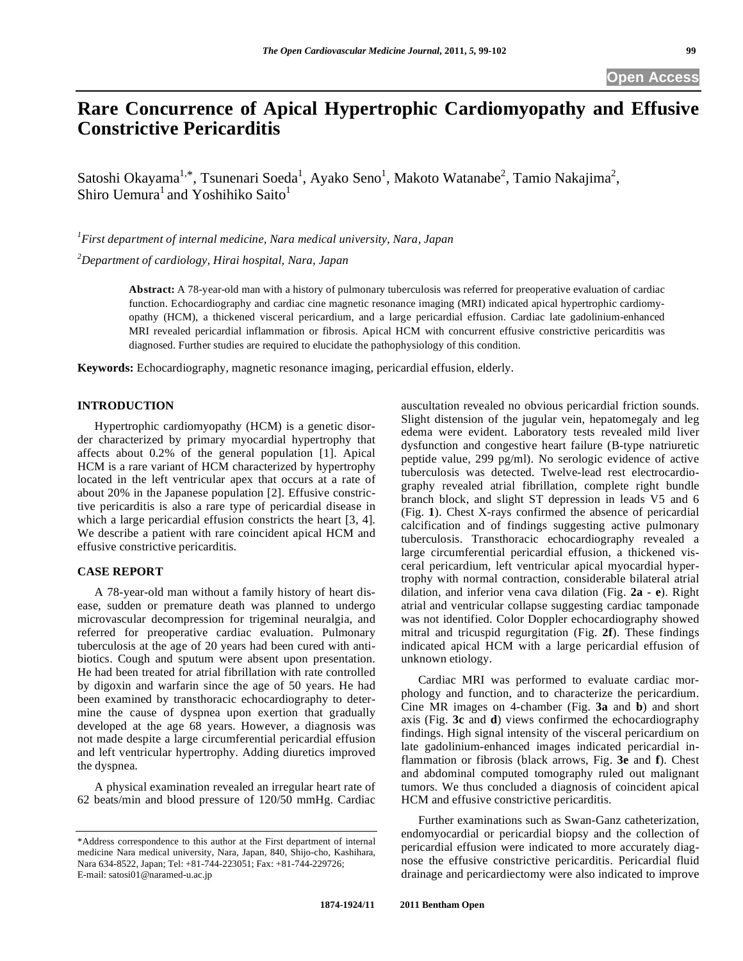# **Rare Concurrence of Apical Hypertrophic Cardiomyopathy and Effusive Constrictive Pericarditis**

Satoshi Okayama<sup>1,\*</sup>, Tsunenari Soeda<sup>1</sup>, Ayako Seno<sup>1</sup>, Makoto Watanabe<sup>2</sup>, Tamio Nakajima<sup>2</sup>, Shiro Uemura<sup>1</sup> and Yoshihiko Saito<sup>1</sup>

*1 First department of internal medicine, Nara medical university, Nara, Japan* 

*2 Department of cardiology, Hirai hospital, Nara, Japan* 

**Abstract:** A 78-year-old man with a history of pulmonary tuberculosis was referred for preoperative evaluation of cardiac function. Echocardiography and cardiac cine magnetic resonance imaging (MRI) indicated apical hypertrophic cardiomyopathy (HCM), a thickened visceral pericardium, and a large pericardial effusion. Cardiac late gadolinium-enhanced MRI revealed pericardial inflammation or fibrosis. Apical HCM with concurrent effusive constrictive pericarditis was diagnosed. Further studies are required to elucidate the pathophysiology of this condition.

**Keywords:** Echocardiography, magnetic resonance imaging, pericardial effusion, elderly.

## **INTRODUCTION**

 Hypertrophic cardiomyopathy (HCM) is a genetic disorder characterized by primary myocardial hypertrophy that affects about 0.2% of the general population [1]. Apical HCM is a rare variant of HCM characterized by hypertrophy located in the left ventricular apex that occurs at a rate of about 20% in the Japanese population [2]. Effusive constrictive pericarditis is also a rare type of pericardial disease in which a large pericardial effusion constricts the heart [3, 4]. We describe a patient with rare coincident apical HCM and effusive constrictive pericarditis.

## **CASE REPORT**

 A 78-year-old man without a family history of heart disease, sudden or premature death was planned to undergo microvascular decompression for trigeminal neuralgia, and referred for preoperative cardiac evaluation. Pulmonary tuberculosis at the age of 20 years had been cured with antibiotics. Cough and sputum were absent upon presentation. He had been treated for atrial fibrillation with rate controlled by digoxin and warfarin since the age of 50 years. He had been examined by transthoracic echocardiography to determine the cause of dyspnea upon exertion that gradually developed at the age 68 years. However, a diagnosis was not made despite a large circumferential pericardial effusion and left ventricular hypertrophy. Adding diuretics improved the dyspnea.

 A physical examination revealed an irregular heart rate of 62 beats/min and blood pressure of 120/50 mmHg. Cardiac

auscultation revealed no obvious pericardial friction sounds. Slight distension of the jugular vein, hepatomegaly and leg edema were evident. Laboratory tests revealed mild liver dysfunction and congestive heart failure (B-type natriuretic peptide value, 299 pg/ml). No serologic evidence of active tuberculosis was detected. Twelve-lead rest electrocardiography revealed atrial fibrillation, complete right bundle branch block, and slight ST depression in leads V5 and 6 (Fig. **1**). Chest X-rays confirmed the absence of pericardial calcification and of findings suggesting active pulmonary tuberculosis. Transthoracic echocardiography revealed a large circumferential pericardial effusion, a thickened visceral pericardium, left ventricular apical myocardial hypertrophy with normal contraction, considerable bilateral atrial dilation, and inferior vena cava dilation (Fig. **2a** - **e**). Right atrial and ventricular collapse suggesting cardiac tamponade was not identified. Color Doppler echocardiography showed mitral and tricuspid regurgitation (Fig. **2f**). These findings indicated apical HCM with a large pericardial effusion of unknown etiology.

 Cardiac MRI was performed to evaluate cardiac morphology and function, and to characterize the pericardium. Cine MR images on 4-chamber (Fig. **3a** and **b**) and short axis (Fig. **3c** and **d**) views confirmed the echocardiography findings. High signal intensity of the visceral pericardium on late gadolinium-enhanced images indicated pericardial inflammation or fibrosis (black arrows, Fig. **3e** and **f**). Chest and abdominal computed tomography ruled out malignant tumors. We thus concluded a diagnosis of coincident apical HCM and effusive constrictive pericarditis.

 Further examinations such as Swan-Ganz catheterization, endomyocardial or pericardial biopsy and the collection of pericardial effusion were indicated to more accurately diagnose the effusive constrictive pericarditis. Pericardial fluid drainage and pericardiectomy were also indicated to improve

<sup>\*</sup>Address correspondence to this author at the First department of internal medicine Nara medical university, Nara, Japan, 840, Shijo-cho, Kashihara, Nara 634-8522, Japan; Tel: +81-744-223051; Fax: +81-744-229726; E-mail: satosi01@naramed-u.ac.jp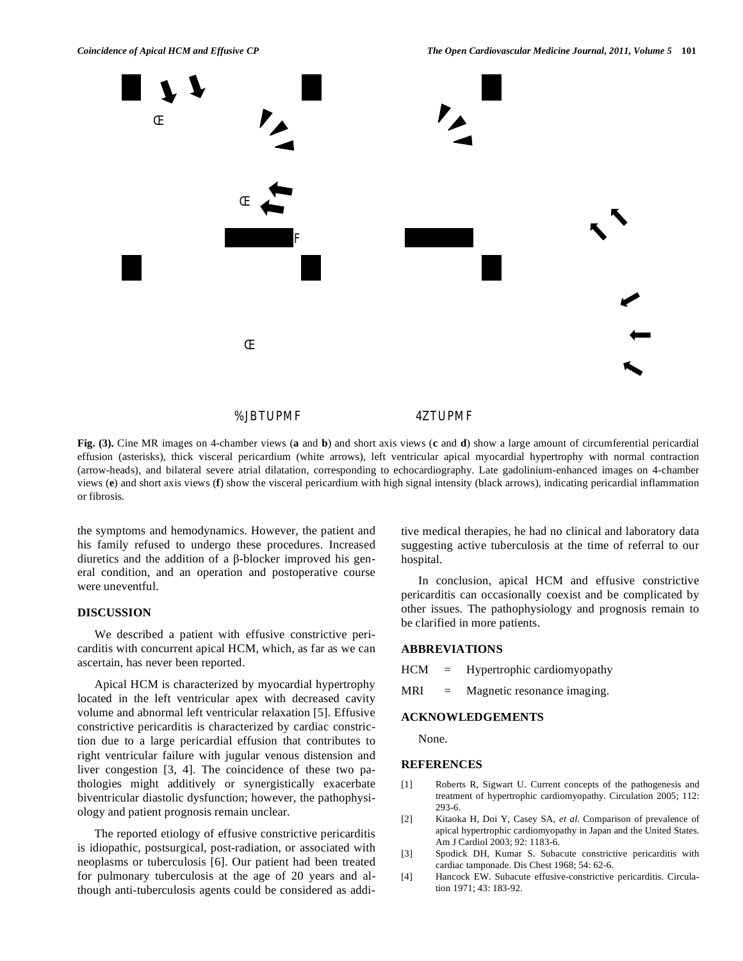

**Fig. (3).** Cine MR images on 4-chamber views (**a** and **b**) and short axis views (**c** and **d**) show a large amount of circumferential pericardial effusion (asterisks), thick visceral pericardium (white arrows), left ventricular apical myocardial hypertrophy with normal contraction (arrow-heads), and bilateral severe atrial dilatation, corresponding to echocardiography. Late gadolinium-enhanced images on 4-chamber views (**e**) and short axis views (**f**) show the visceral pericardium with high signal intensity (black arrows), indicating pericardial inflammation or fibrosis.

the symptoms and hemodynamics. However, the patient and his family refused to undergo these procedures. Increased diuretics and the addition of a  $\beta$ -blocker improved his general condition, and an operation and postoperative course were uneventful.

# **DISCUSSION**

 We described a patient with effusive constrictive pericarditis with concurrent apical HCM, which, as far as we can ascertain, has never been reported.

 Apical HCM is characterized by myocardial hypertrophy located in the left ventricular apex with decreased cavity volume and abnormal left ventricular relaxation [5]. Effusive constrictive pericarditis is characterized by cardiac constriction due to a large pericardial effusion that contributes to right ventricular failure with jugular venous distension and liver congestion [3, 4]. The coincidence of these two pathologies might additively or synergistically exacerbate biventricular diastolic dysfunction; however, the pathophysiology and patient prognosis remain unclear.

 The reported etiology of effusive constrictive pericarditis is idiopathic, postsurgical, post-radiation, or associated with neoplasms or tuberculosis [6]. Our patient had been treated for pulmonary tuberculosis at the age of 20 years and although anti-tuberculosis agents could be considered as additive medical therapies, he had no clinical and laboratory data suggesting active tuberculosis at the time of referral to our hospital.

 In conclusion, apical HCM and effusive constrictive pericarditis can occasionally coexist and be complicated by other issues. The pathophysiology and prognosis remain to be clarified in more patients.

#### **ABBREVIATIONS**

 $HCM =$  Hypertrophic cardiomyopathy

MRI = Magnetic resonance imaging.

### **ACKNOWLEDGEMENTS**

None.

#### **REFERENCES**

- [1] Roberts R, Sigwart U. Current concepts of the pathogenesis and treatment of hypertrophic cardiomyopathy. Circulation 2005; 112: 293-6.
- [2] Kitaoka H, Doi Y, Casey SA, *et al*. Comparison of prevalence of apical hypertrophic cardiomyopathy in Japan and the United States. Am J Cardiol 2003; 92: 1183-6.
- [3] Spodick DH, Kumar S. Subacute constrictive pericarditis with cardiac tamponade. Dis Chest 1968; 54: 62-6.
- [4] Hancock EW. Subacute effusive-constrictive pericarditis. Circulation 1971; 43: 183-92.